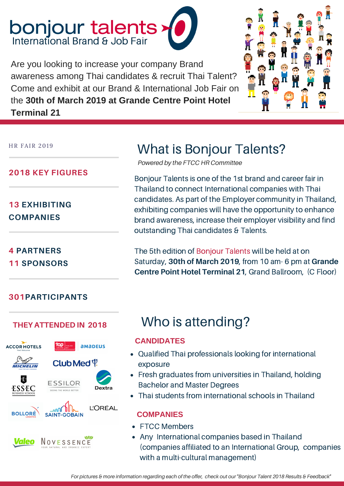# **bonjour talents**<br>International Brand & Job Fair

Are you looking to increase your company Brand awareness among Thai candidates & recruit Thai Talent? Come and exhibit at our Brand & International Job Fair on the **30th of March 2019 at Grande Centre Point Hotel Terminal 21**



HR FAIR 2019

### **2018 KEY FIGURES**

**13 EXHIBITING COMPANIES**

**4 PARTNERS 11 SPONSORS**

### **301PARTICIPANTS**



## What is Bonjour Talents?

*Powered by the FTCC HR Committee*

Bonjour Talents is one of the 1st brand and career fair in Thailand to connect International companies with Thai candidates. As part of the Employer community in Thailand, exhibiting companies will have the opportunity to enhance brand awareness, increase their employer visibility and find outstanding Thai candidates & Talents.

The 5th edition of Bonjour Talents will be held at on Saturday, **30th of March 2019**, from 10 am- 6 pm at **Grande Centre Point Hotel Terminal 21**, Grand Ballroom, (C Floor)

## **THEY ATTENDED IN <sup>2018</sup>** Who is attending?

### **CANDIDATES**

- Qualified Thai professionals looking for international exposure
- Fresh graduates from universities in Thailand, holding Bachelor and Master Degrees
- Thai students from international schools in Thailand

### **COMPANIES**

- FTCC Members
- Any International companies based in Thailand (companies affiliated to an International Group, companies with a multi-cultural management)